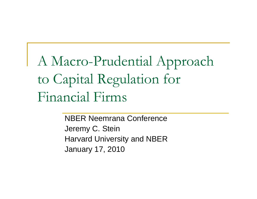A Macro-Prudential Approach to Capital Regulation for Financial Firms

> NBER Neemrana ConferenceJeremy C. Stein Harvard University and NBER January 17, 2010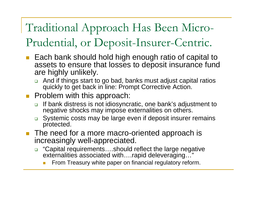### Traditional Approach Has Been Micro-Prudential, or Deposit-Insurer-Centric.

- Each bank should hold high enough ratio of capital to assets to ensure that losses to deposit insurance fund are highly unlikely.
	- $\Box$  And if things start to go bad, banks must adjust capital ratios quickly to get back in line: Prompt Corrective Action.
- **Problem with this approach:** 
	- $\Box$  If bank distress is not idiosyncratic, one bank's adjustment to negative shocks may impose externalities on others.
	- $\Box$  Systemic costs may be large even if deposit insurer remains protected.
- The need for a more macro-oriented approach is increasingly well-appreciated.
	- □ "Capital requirements….should reflect the large negative externalities associated with....rapid deleveraging...'
		- From Treasury white paper on financial regulatory reform.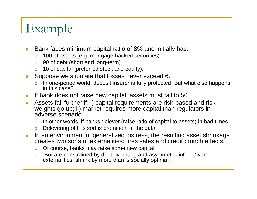# Example

- $\mathcal{C}^{\mathcal{A}}$  Bank faces minimum capital ratio of 8% and initially has:
	- $\Box$ 100 of assets (e.g. mortgage-backed securities)
	- $\Box$ 90 of debt (short and long-term)
	- $\Box$ 10 of capital (preferred stock and equity).
- $\mathcal{L}^{\mathcal{A}}$  Suppose we stipulate that losses never exceed 6.
	- $\Box$  In one-period world, deposit insurer is fully protected. But what else happens in this case?
- $\mathbb{R}^3$ If bank does not raise new capital, assets must fall to 50.
- $\mathcal{C}^{\mathcal{A}}$  Assets fall further if: i) capital requirements are risk-based and risk weights go up; ii) market requires more capital than regulators in adverse scenario.
	- $\Box$ In other words, if banks delever (raise ratio of capital to assets) in bad times.
	- $\Box$ Delevering of this sort is prominent in the data.
- $\overline{\phantom{a}}$  In an environment of generalized distress, the resulting asset shrinkage creates two sorts of externalities: fires sales and credit crunch effects.
	- $\Box$ Of course, banks may raise some new capital.
	- $\Box$  But are constrained by debt overhang and asymmetric info. Given externalities, shrink by more than is socially optimal.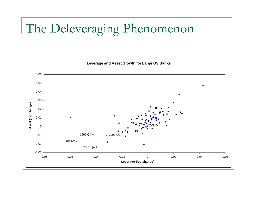## The Deleveraging Phenomenon

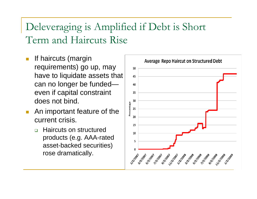### Deleveraging is Amplified if Debt is Short Term and Haircuts Rise

- T. If haircuts (margin requirements) go up, may have to liquidate assets that can no longer be funded even if capital constraint does not bind.
- m. An important feature of the current crisis.
	- $\Box$  Haircuts on structured products (e.g. AAA-rated asset-backed securities) rose dramatically.

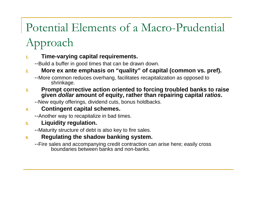### Potential Elements of a Macro-Prudential Approach

#### **1.Time-varying capital requirements.**

--Build a buffer in good times that can be drawn down.

#### **2.More ex ante emphasis on "quality" of capital (common vs. pref).**

--More common reduces overhang, facilitates recapitalization as opposed to shrinkage.

**3. Prompt corrective action oriented to forcing troubled banks to raise given** *dollar* **amount of equity, rather than repairing capital** *ratios***.**

--New equity offerings, dividend cuts, bonus holdbacks.

#### **4.Contingent capital schemes.**

--Another way to recapitalize in bad times.

#### **5.Liquidity regulation.**

--Maturity structure of debt is also key to fire sales.

#### **6.Regulating the shadow banking system.**

--Fire sales and accompanying credit contraction can arise here; easily cross boundaries between banks and non-banks.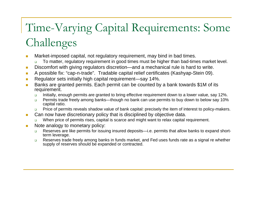## Time-Varying Capital Requirements: Some Challenges

- **T**  Market-imposed capital, not regulatory requirement, may bind in bad times.
	- $\Box$ To matter, regulatory requirement in good times must be higher than bad-times market level.
- $\blacksquare$ Discomfort with giving regulators discretion—and a mechanical rule is hard to write.
- **I** A possible fix: "cap-n-trade". Tradable capital relief certificates (Kashyap-Stein 09).
- $\mathcal{C}^{\mathcal{A}}$ Regulator sets initially high capital requirement—say 14%.
- $\mathcal{C}^{\mathcal{A}}$  Banks are granted permits. Each permit can be counted by a bank towards \$1M of its requirement.
	- $\Box$ Initially, enough permits are granted to bring effective requirement down to a lower value, say 12%.
	- $\Box$  Permits trade freely among banks—though no bank can use permits to buy down to below say 10% capital ratio.
	- $\Box$ Price of permits reveals shadow value of bank capital: precisely the item of interest to policy-makers.
- $\mathbb{R}^n$  Can now have discretionary policy that is disciplined by objective data.
	- □ When price of permits rises, capital is scarce and might want to relax capital requirement.
- m. Note analogy to monetary policy:
	- $\Box$  Reserves are like permits for issuing insured deposits—i.e. permits that allow banks to expand shortterm leverage.
	- $\Box$  Reserves trade freely among banks in funds market, and Fed uses funds rate as a signal re whether supply of reserves should be expanded or contracted.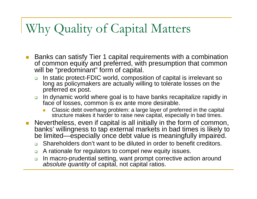## Why Quality of Capital Matters

- $\mathcal{L}^{\mathcal{L}}$  Banks can satisfy Tier 1 capital requirements with a combination of common equity and preferred, with presumption that common will be "predominant" form of capital.
	- $\Box$  In static protect-FDIC world, composition of capital is irrelevant so long as policymakers are actually willing to tolerate losses on the preferred ex post.
	- $\Box$  In dynamic world where goal is to have banks recapitalize rapidly in face of losses, common is ex ante more desirable.
		- Π **Classic debt overhang problem: a large layer of preferred in the capital** structure makes it harder to raise new capital, especially in bad times.
- $\mathcal{L}^{\mathcal{A}}$  Nevertheless, even if capital is all initially in the form of common, banks' willingness to tap external markets in bad times is likely to be limited—especially once debt value is meaningfully impaired.
	- $\Box$ Shareholders don't want to be diluted in order to benefit creditors.
	- $\Box$ A rationale for regulators to compel new equity issues.
	- $\Box$  In macro-prudential setting, want prompt corrective action around *absolute quantity* of capital, not capital ratios.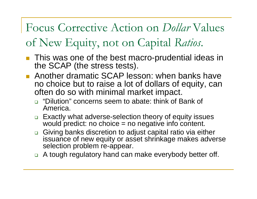Focus Corrective Action on *Dollar* Values of New Equity, not on Capital *Ratios*.

- **This was one of the best macro-prudential ideas in** the SCAP (the stress tests).
- **Another dramatic SCAP lesson: when banks have** no choice but to raise a lot of dollars of equity, can often do so with minimal market impact.
	- □ "Dilution" concerns seem to abate: think of Bank of America.
	- □ Exactly what adverse-selection theory of equity issues would predict: no choice = no negative info content.
	- □ Giving banks discretion to adjust capital ratio via either issuance of new equity or asset shrinkage makes adverse selection problem re-appear.
	- □ A tough regulatory hand can make everybody better off.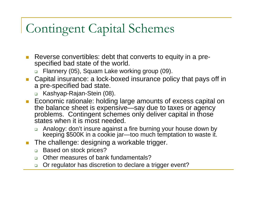## Contingent Capital Schemes

- Reverse convertibles: debt that converts to equity in a prespecified bad state of the world.
	- □ Flannery (05), Squam Lake working group (09).
- Capital insurance: a lock-boxed insurance policy that pays off in a pre-specified bad state.
	- Kashyap-Rajan-Stein (08).
- **Example 10 Feronalie**: holding large amounts of excess capital on the balance sheet is expensive—say due to taxes or agency problems. Contingent schemes only deliver capital in those states when it is most needed.
	- ❏ Analogy: don't insure against a fire burning your house down by keeping \$500K in a cookie jar—too much temptation to waste it.
- $\mathcal{L}^{\mathcal{A}}$  The challenge: designing a workable trigger.
	- $\Box$ Based on stock prices?
	- $\Box$ Other measures of bank fundamentals?
	- $\Box$ Or regulator has discretion to declare a trigger event?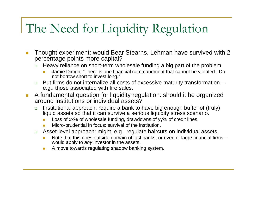### The Need for Liquidity Regulation

- $\mathbb{R}^n$  Thought experiment: would Bear Stearns, Lehman have survived with 2 percentage points more capital?
	- ❏ Heavy reliance on short-term wholesale funding a big part of the problem.
		- Jamie Dimon: "There is one financial commandment that cannot be violated. Do not borrow short to invest long."
	- $\Box$  But firms do not internalize all costs of excessive maturity transformation e.g., those associated with fire sales.
- $\overline{\mathbb{R}^n}$  A fundamental question for liquidity regulation: should it be organized around institutions or individual assets?
	- $\Box$  Institutional approach: require a bank to have big enough buffer of (truly) liquid assets so that it can survive a serious liquidity stress scenario.
		- Loss of xx% of wholesale funding, drawdowns of yy% of credit lines.
		- Micro-prudential in focus: survival of the institution.
	- $\Box$  Asset-level approach: might, e.g., regulate haircuts on individual assets.
		- Note that this goes outside domain of just banks, or even of large financial firms would apply to *any* investor in the assets.
		- п A move towards regulating shadow banking system.